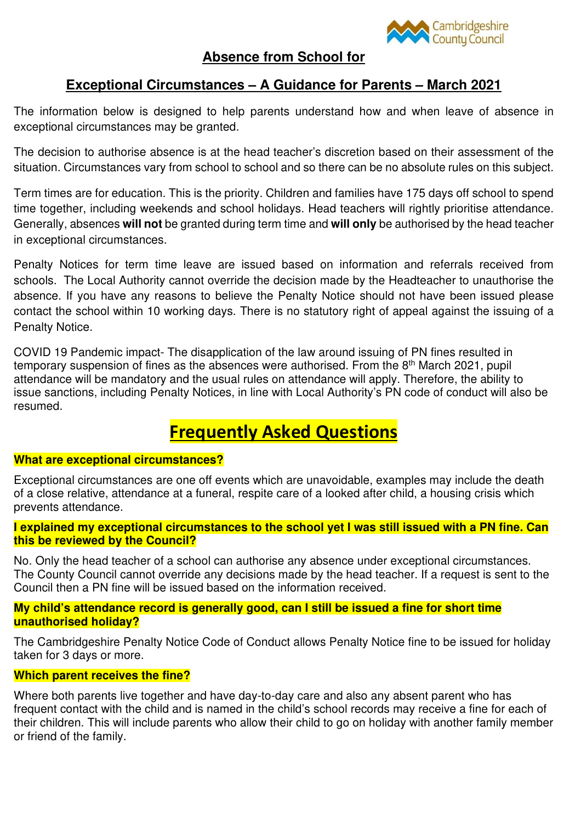

# **Absence from School for**

# **Exceptional Circumstances – A Guidance for Parents – March 2021**

The information below is designed to help parents understand how and when leave of absence in exceptional circumstances may be granted.

The decision to authorise absence is at the head teacher's discretion based on their assessment of the situation. Circumstances vary from school to school and so there can be no absolute rules on this subject.

Term times are for education. This is the priority. Children and families have 175 days off school to spend time together, including weekends and school holidays. Head teachers will rightly prioritise attendance. Generally, absences **will not** be granted during term time and **will only** be authorised by the head teacher in exceptional circumstances.

Penalty Notices for term time leave are issued based on information and referrals received from schools. The Local Authority cannot override the decision made by the Headteacher to unauthorise the absence. If you have any reasons to believe the Penalty Notice should not have been issued please contact the school within 10 working days. There is no statutory right of appeal against the issuing of a Penalty Notice.

COVID 19 Pandemic impact- The disapplication of the law around issuing of PN fines resulted in temporary suspension of fines as the absences were authorised. From the  $8<sup>th</sup>$  March 2021, pupil attendance will be mandatory and the usual rules on attendance will apply. Therefore, the ability to issue sanctions, including Penalty Notices, in line with Local Authority's PN code of conduct will also be resumed.

# **Frequently Asked Questions**

# **What are exceptional circumstances?**

Exceptional circumstances are one off events which are unavoidable, examples may include the death of a close relative, attendance at a funeral, respite care of a looked after child, a housing crisis which prevents attendance.

## **I explained my exceptional circumstances to the school yet I was still issued with a PN fine. Can this be reviewed by the Council?**

No. Only the head teacher of a school can authorise any absence under exceptional circumstances. The County Council cannot override any decisions made by the head teacher. If a request is sent to the Council then a PN fine will be issued based on the information received.

# **My child's attendance record is generally good, can I still be issued a fine for short time unauthorised holiday?**

The Cambridgeshire Penalty Notice Code of Conduct allows Penalty Notice fine to be issued for holiday taken for 3 days or more.

# **Which parent receives the fine?**

Where both parents live together and have day-to-day care and also any absent parent who has frequent contact with the child and is named in the child's school records may receive a fine for each of their children. This will include parents who allow their child to go on holiday with another family member or friend of the family.